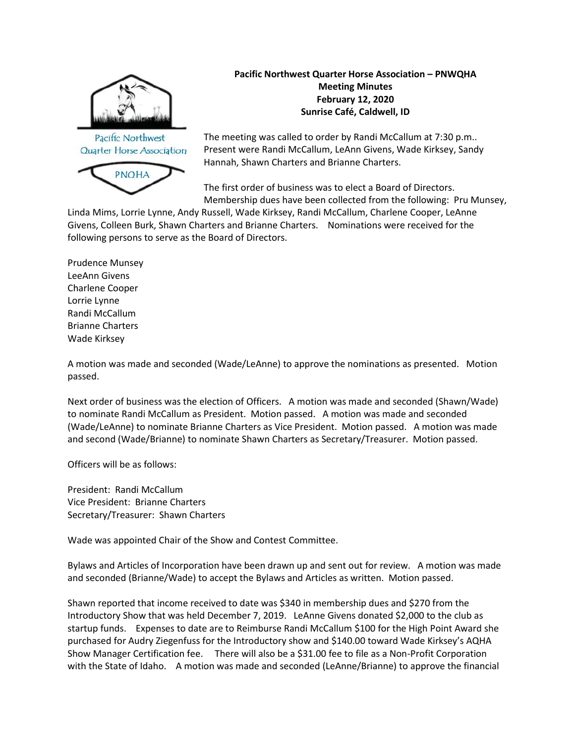

Pacific Northwest Quarter Horse Association



**Pacific Northwest Quarter Horse Association – PNWQHA Meeting Minutes February 12, 2020 Sunrise Café, Caldwell, ID**

The meeting was called to order by Randi McCallum at 7:30 p.m.. Present were Randi McCallum, LeAnn Givens, Wade Kirksey, Sandy Hannah, Shawn Charters and Brianne Charters.

The first order of business was to elect a Board of Directors. Membership dues have been collected from the following: Pru Munsey,

Linda Mims, Lorrie Lynne, Andy Russell, Wade Kirksey, Randi McCallum, Charlene Cooper, LeAnne Givens, Colleen Burk, Shawn Charters and Brianne Charters. Nominations were received for the following persons to serve as the Board of Directors.

Prudence Munsey LeeAnn Givens Charlene Cooper Lorrie Lynne Randi McCallum Brianne Charters Wade Kirksey

A motion was made and seconded (Wade/LeAnne) to approve the nominations as presented. Motion passed.

Next order of business was the election of Officers. A motion was made and seconded (Shawn/Wade) to nominate Randi McCallum as President. Motion passed. A motion was made and seconded (Wade/LeAnne) to nominate Brianne Charters as Vice President. Motion passed. A motion was made and second (Wade/Brianne) to nominate Shawn Charters as Secretary/Treasurer. Motion passed.

Officers will be as follows:

President: Randi McCallum Vice President: Brianne Charters Secretary/Treasurer: Shawn Charters

Wade was appointed Chair of the Show and Contest Committee.

Bylaws and Articles of Incorporation have been drawn up and sent out for review. A motion was made and seconded (Brianne/Wade) to accept the Bylaws and Articles as written. Motion passed.

Shawn reported that income received to date was \$340 in membership dues and \$270 from the Introductory Show that was held December 7, 2019. LeAnne Givens donated \$2,000 to the club as startup funds. Expenses to date are to Reimburse Randi McCallum \$100 for the High Point Award she purchased for Audry Ziegenfuss for the Introductory show and \$140.00 toward Wade Kirksey's AQHA Show Manager Certification fee. There will also be a \$31.00 fee to file as a Non-Profit Corporation with the State of Idaho. A motion was made and seconded (LeAnne/Brianne) to approve the financial